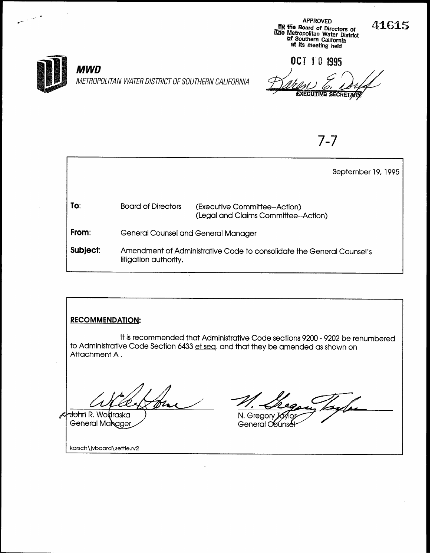APPROVED @3 the Board of Directors of u de Metropolitan Water District or Southern California at its meeting held

41615



### **MWD**

METROPOLITAN WATER DISTRICT OF SOUTHERN CALIFORNIA

OCT 10 1995 **EXECUTIVE SECRETARY** 

7-7

|                 |                                     |                                                                       | September 19, 1995 |
|-----------------|-------------------------------------|-----------------------------------------------------------------------|--------------------|
| To:             | <b>Board of Directors</b>           | (Executive Committee--Action)<br>(Legal and Claims Committee--Action) |                    |
| From:           | General Counsel and General Manager |                                                                       |                    |
| <b>Subject:</b> | litigation authority.               | Amendment of Administrative Code to consolidate the General Counsel's |                    |

## RECOMMENDATION:

It is recommended that Administrative Code sections 9200 - 9202 be renumbered to Administrative Code Section 6433 et seq. and that they be amended as shown on Attachment A.

<del>Joh</del>n R. Wo**l**traska General Manager

N. Gregory Joy

General Counse

karsch\jvboard\settle.rv2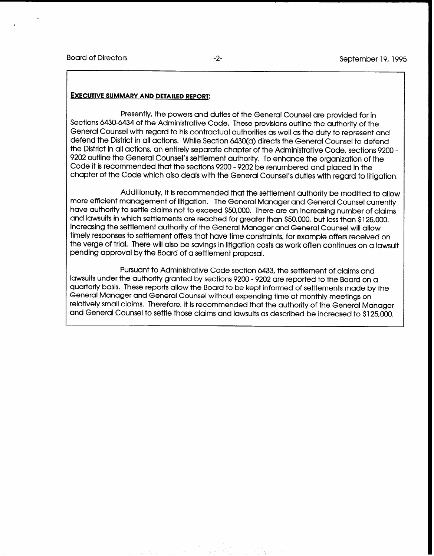#### EXECUTIVE SUMMARY AND DETAILED REPORT:

Presently, the powers and duties of the General Counsel are provided for in Sections 6430-6434 of the Administrative Code. These provisions outline the authority of the General Counsel with regard to his contractual authorities as well as the duty to represent and defend the District in all actions, While Section 6430(a) directs the General Counsel to defend the District in all actions, an entirely separate chapter of the Administrative Code, sections 9200 - 9202 outline the General Counsel's settlement authority. To enhance the organization of the Code it is recommended that the sections 9200 - 9202 be renumbered and placed in the chapter of the Code which also deals with the General Counsel's duties with regard to litigation.

Additionally, it is recommended that the settlement authority be modified to allow more efficient management of litigation. The General Manager and General Counsel currently have authority to settle claims not to exceed \$50,000. There are an increasing number of claims and lawsuits in which settlements are reached for greater than \$50,000, but less than \$125,000, Increasing the settlement authority of the General Manager and General Counsel will allow timely responses to settlement offers that have time constraints, for example offers received on the verge of trial. There will also be savings in litigation costs as work often continues on a lawsuit pending approval by the Board of a settlement proposal.

Pursuant to Administrative Code section 6433, the settlement of claims and lawsuits under the authority granted by sections 9200 - 9202 are reported to the Board on a quarterly basis. These reports allow the Board to be kept informed of settlements made by the General Manager and General Counsel without expending time at monthly meetings on relatively small claims, Therefore, it is recommended that the authority of the General Manager and General Counsel to settle those claims and lawsuits as described be increased to \$125,000.